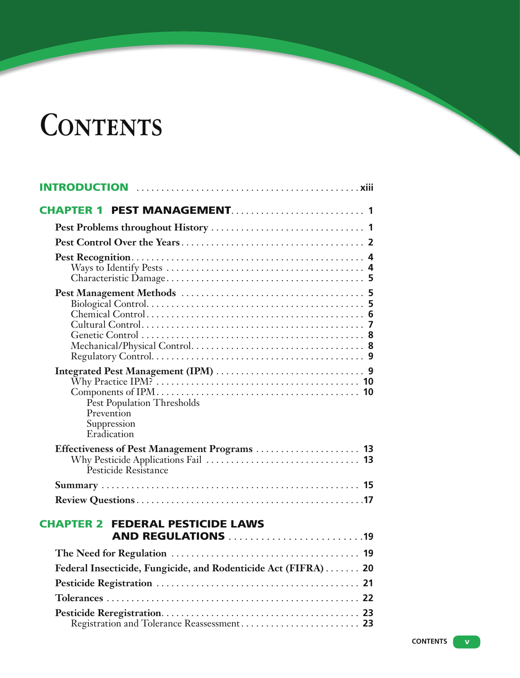## **Contents**

| Pest Population Thresholds<br>Prevention<br>Suppression<br>Eradication |  |
|------------------------------------------------------------------------|--|
| Pesticide Resistance                                                   |  |
|                                                                        |  |
|                                                                        |  |
| <b>CHAPTER 2 FEDERAL PESTICIDE LAWS</b><br><b>AND REGULATIONS 19</b>   |  |
|                                                                        |  |
| Federal Insecticide, Fungicide, and Rodenticide Act (FIFRA)  20        |  |
|                                                                        |  |
|                                                                        |  |
| Registration and Tolerance Reassessment 23                             |  |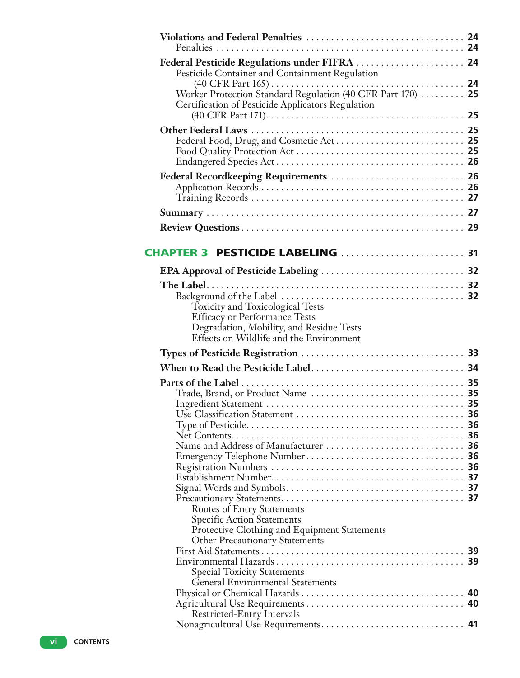| Federal Pesticide Regulations under FIFRA  24<br>Pesticide Container and Containment Regulation                                                                                                                                                                       |  |
|-----------------------------------------------------------------------------------------------------------------------------------------------------------------------------------------------------------------------------------------------------------------------|--|
| Worker Protection Standard Regulation (40 CFR Part 170)  25<br>Certification of Pesticide Applicators Regulation                                                                                                                                                      |  |
|                                                                                                                                                                                                                                                                       |  |
| Federal Recordkeeping Requirements  26                                                                                                                                                                                                                                |  |
|                                                                                                                                                                                                                                                                       |  |
| CHAPTER 3 PESTICIDE LABELING  31                                                                                                                                                                                                                                      |  |
|                                                                                                                                                                                                                                                                       |  |
| Background of the Label $\dots \dots \dots \dots \dots \dots \dots \dots \dots \dots \dots$<br><b>Toxicity and Toxicological Tests</b><br><b>Efficacy or Performance Tests</b><br>Degradation, Mobility, and Residue Tests<br>Effects on Wildlife and the Environment |  |
|                                                                                                                                                                                                                                                                       |  |
|                                                                                                                                                                                                                                                                       |  |
| <b>Routes of Entry Statements</b><br><b>Specific Action Statements</b>                                                                                                                                                                                                |  |
| Protective Clothing and Equipment Statements<br><b>Other Precautionary Statements</b>                                                                                                                                                                                 |  |
|                                                                                                                                                                                                                                                                       |  |
| <b>Special Toxicity Statements</b><br><b>General Environmental Statements</b>                                                                                                                                                                                         |  |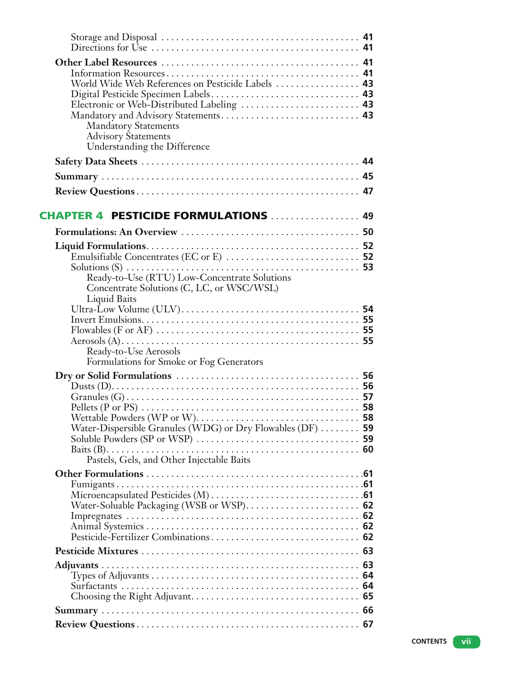| World Wide Web References on Pesticide Labels  43<br>Digital Pesticide Specimen Labels 43<br>Electronic or Web-Distributed Labeling  43<br><b>Mandatory Statements</b><br><b>Advisory Statements</b><br>Understanding the Difference            |    |
|-------------------------------------------------------------------------------------------------------------------------------------------------------------------------------------------------------------------------------------------------|----|
|                                                                                                                                                                                                                                                 |    |
|                                                                                                                                                                                                                                                 |    |
|                                                                                                                                                                                                                                                 |    |
| <b>CHAPTER 4 PESTICIDE FORMULATIONS  49</b>                                                                                                                                                                                                     |    |
|                                                                                                                                                                                                                                                 |    |
| Solutions (S) $\ldots$ $\ldots$ $\ldots$ $\ldots$ $\ldots$ $\ldots$ $\ldots$ $\ldots$ $\ldots$ $\ldots$ $\ldots$ 53<br>Ready-to-Use (RTU) Low-Concentrate Solutions<br>Concentrate Solutions (C, LC, or WSC/WSL)                                |    |
| Liquid Baits<br>Ready-to-Use Aerosols<br>Formulations for Smoke or Fog Generators                                                                                                                                                               |    |
| Pellets (P or PS) $\ldots$ $\ldots$ $\ldots$ $\ldots$ $\ldots$ $\ldots$ $\ldots$ $\ldots$ $\ldots$ $\ldots$ $\ldots$ 58<br>Water-Dispersible Granules (WDG) or Dry Flowables (DF) $\dots \dots$ 59<br>Pastels, Gels, and Other Injectable Baits |    |
| Pesticide-Fertilizer Combinations 62                                                                                                                                                                                                            |    |
|                                                                                                                                                                                                                                                 |    |
|                                                                                                                                                                                                                                                 | 64 |
|                                                                                                                                                                                                                                                 |    |
|                                                                                                                                                                                                                                                 |    |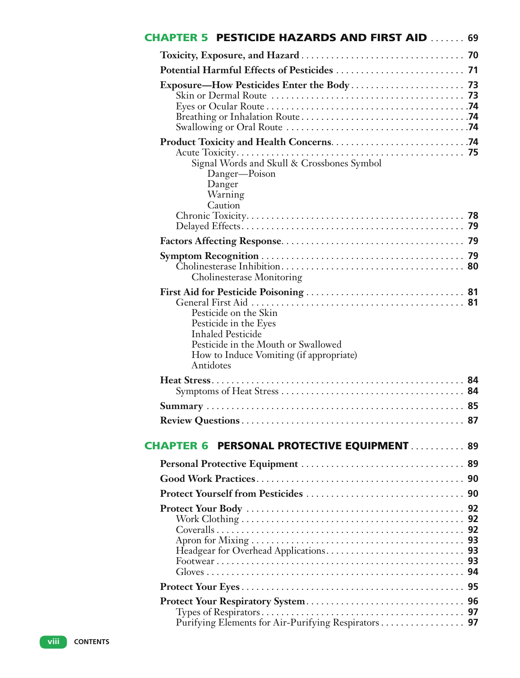| <b>CHAPTER 5 PESTICIDE HAZARDS AND FIRST AID  69</b>                                                                                                                      |  |
|---------------------------------------------------------------------------------------------------------------------------------------------------------------------------|--|
|                                                                                                                                                                           |  |
|                                                                                                                                                                           |  |
| Exposure—How Pesticides Enter the Body 73                                                                                                                                 |  |
| Signal Words and Skull & Crossbones Symbol<br>Danger-Poison<br>Danger<br>Warning<br>Caution                                                                               |  |
|                                                                                                                                                                           |  |
|                                                                                                                                                                           |  |
| <b>Cholinesterase Monitoring</b>                                                                                                                                          |  |
| Pesticide on the Skin<br>Pesticide in the Eyes<br><b>Inhaled Pesticide</b><br>Pesticide in the Mouth or Swallowed<br>How to Induce Vomiting (if appropriate)<br>Antidotes |  |
|                                                                                                                                                                           |  |
|                                                                                                                                                                           |  |
|                                                                                                                                                                           |  |
| <b>CHAPTER 6 PERSONAL PROTECTIVE EQUIPMENT  89</b>                                                                                                                        |  |
|                                                                                                                                                                           |  |
|                                                                                                                                                                           |  |
|                                                                                                                                                                           |  |
|                                                                                                                                                                           |  |
|                                                                                                                                                                           |  |
| Purifying Elements for Air-Purifying Respirators 97                                                                                                                       |  |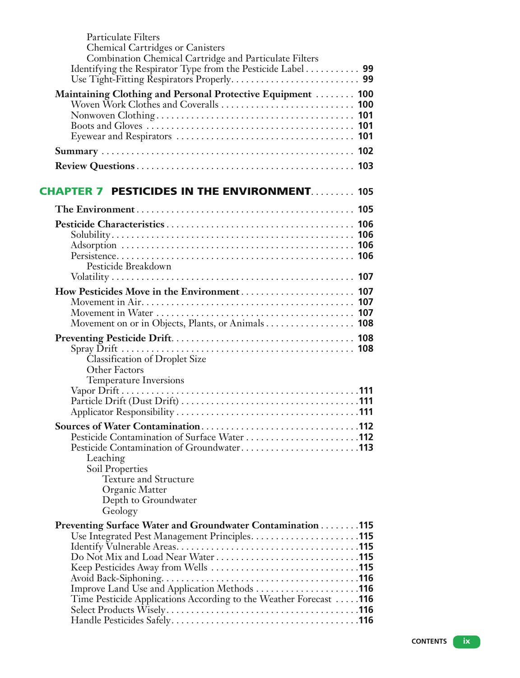| <b>Particulate Filters</b><br><b>Chemical Cartridges or Canisters</b><br>Combination Chemical Cartridge and Particulate Filters<br>Identifying the Respirator Type from the Pesticide Label 99 |     |
|------------------------------------------------------------------------------------------------------------------------------------------------------------------------------------------------|-----|
| Maintaining Clothing and Personal Protective Equipment  100                                                                                                                                    |     |
|                                                                                                                                                                                                |     |
| <b>CHAPTER 7 PESTICIDES IN THE ENVIRONMENT 105</b>                                                                                                                                             |     |
|                                                                                                                                                                                                |     |
| Pesticide Breakdown                                                                                                                                                                            |     |
| Movement on or in Objects, Plants, or Animals 108                                                                                                                                              | 107 |
| Classification of Droplet Size<br>Other Factors<br><b>Temperature Inversions</b>                                                                                                               |     |
| Leaching<br>Soil Properties<br>Texture and Structure<br>Organic Matter<br>Depth to Groundwater<br>Geology                                                                                      |     |
| Preventing Surface Water and Groundwater Contamination 115<br>Time Pesticide Applications According to the Weather Forecast 116                                                                |     |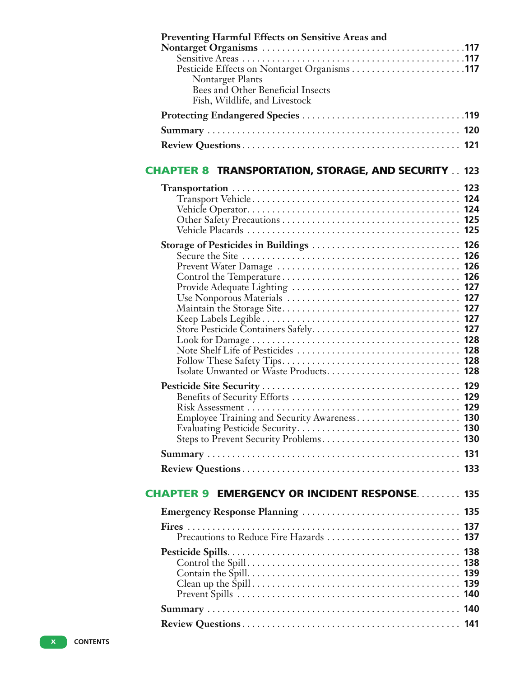| <b>Preventing Harmful Effects on Sensitive Areas and</b>      |  |
|---------------------------------------------------------------|--|
|                                                               |  |
|                                                               |  |
| <b>Nontarget Plants</b>                                       |  |
| Bees and Other Beneficial Insects                             |  |
| Fish, Wildlife, and Livestock                                 |  |
|                                                               |  |
|                                                               |  |
|                                                               |  |
| <b>CHAPTER 8 TRANSPORTATION, STORAGE, AND SECURITY . 123</b>  |  |
|                                                               |  |
|                                                               |  |
|                                                               |  |
|                                                               |  |
|                                                               |  |
|                                                               |  |
|                                                               |  |
|                                                               |  |
|                                                               |  |
|                                                               |  |
|                                                               |  |
|                                                               |  |
|                                                               |  |
|                                                               |  |
| Isolate Unwanted or Waste Products 128                        |  |
|                                                               |  |
|                                                               |  |
|                                                               |  |
| Employee Training and Security Awareness 130                  |  |
|                                                               |  |
|                                                               |  |
|                                                               |  |
|                                                               |  |
| <b>CHAPTER 9</b><br><b>EMERGENCY OR INCIDENT RESPONSE 135</b> |  |
|                                                               |  |
|                                                               |  |
|                                                               |  |
|                                                               |  |
|                                                               |  |
|                                                               |  |
|                                                               |  |
|                                                               |  |
|                                                               |  |
|                                                               |  |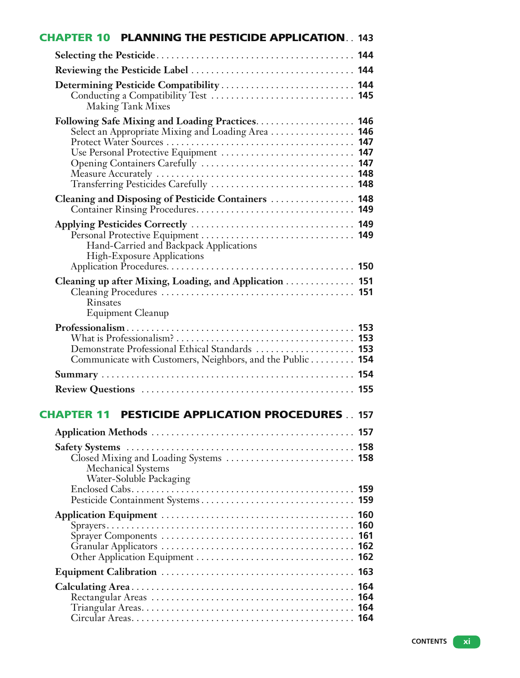| <b>CHAPTER 10 PLANNING THE PESTICIDE APPLICATION 143</b>                                                                               |            |
|----------------------------------------------------------------------------------------------------------------------------------------|------------|
|                                                                                                                                        |            |
|                                                                                                                                        |            |
| Determining Pesticide Compatibility  144<br><b>Making Tank Mixes</b>                                                                   |            |
| Select an Appropriate Mixing and Loading Area  146<br>Use Personal Protective Equipment  147<br>Transferring Pesticides Carefully  148 |            |
| Cleaning and Disposing of Pesticide Containers  148                                                                                    |            |
| Hand-Carried and Backpack Applications<br><b>High-Exposure Applications</b>                                                            |            |
| Cleaning up after Mixing, Loading, and Application 151<br>Rinsates<br><b>Equipment Cleanup</b>                                         |            |
| Demonstrate Professional Ethical Standards  153<br>Communicate with Customers, Neighbors, and the Public 154                           |            |
|                                                                                                                                        |            |
|                                                                                                                                        |            |
| <b>PESTICIDE APPLICATION PROCEDURES 157</b><br><b>CHAPTER 11</b>                                                                       |            |
|                                                                                                                                        |            |
| Closed Mixing and Loading Systems  158<br><b>Mechanical Systems</b><br>Water-Soluble Packaging                                         |            |
|                                                                                                                                        |            |
|                                                                                                                                        | 161        |
|                                                                                                                                        |            |
|                                                                                                                                        | 164<br>164 |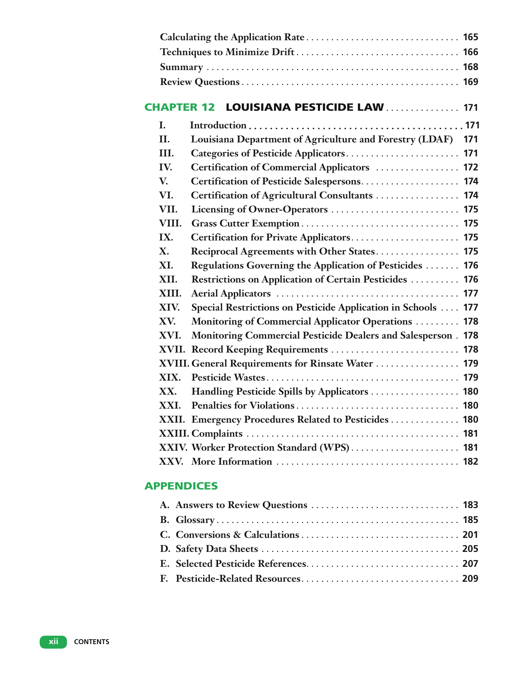| <b>CHAPTER 12</b> | LOUISIANA PESTICIDE LAW  171                                  |  |
|-------------------|---------------------------------------------------------------|--|
| L.                |                                                               |  |
| II.               | Louisiana Department of Agriculture and Forestry (LDAF) 171   |  |
| Ш.                |                                                               |  |
| IV.               | Certification of Commercial Applicators  172                  |  |
| V.                | Certification of Pesticide Salespersons 174                   |  |
| VI.               | Certification of Agricultural Consultants  174                |  |
| VII.              |                                                               |  |
| VIII.             |                                                               |  |
| IX.               | Certification for Private Applicators 175                     |  |
| X.                | Reciprocal Agreements with Other States 175                   |  |
| XI.               | Regulations Governing the Application of Pesticides  176      |  |
| XII.              | Restrictions on Application of Certain Pesticides  176        |  |
| XIII.             |                                                               |  |
| XIV.              | Special Restrictions on Pesticide Application in Schools  177 |  |
| XV.               | Monitoring of Commercial Applicator Operations  178           |  |
| XVI.              | Monitoring Commercial Pesticide Dealers and Salesperson . 178 |  |
|                   | XVII. Record Keeping Requirements  178                        |  |
|                   | XVIII. General Requirements for Rinsate Water  179            |  |
| XIX.              |                                                               |  |
| XX.               | Handling Pesticide Spills by Applicators  180                 |  |
| XXI.              |                                                               |  |
|                   | XXII. Emergency Procedures Related to Pesticides  180         |  |
|                   |                                                               |  |
|                   | XXIV. Worker Protection Standard (WPS) 181                    |  |
|                   |                                                               |  |
|                   |                                                               |  |

## APPENDICES